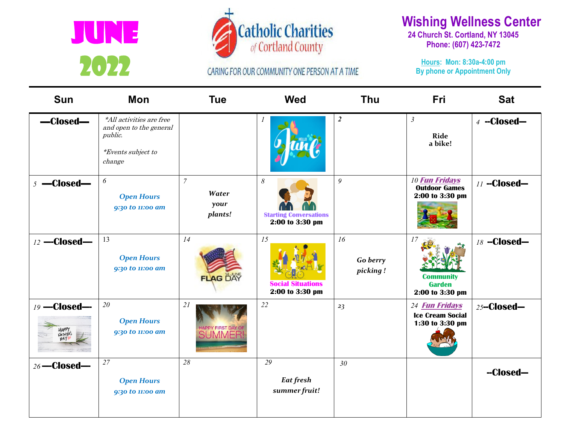



CARING FOR OUR COMMUNITY ONE PERSON AT A TIME

## **Wishing Wellness Center**

**24 Church St. Cortland, NY 13045 Phone: (607) 423-7472** 

**Hours: Mon: 8:30a-4:00 pm By phone or Appointment Only**

| Sun           | Mon                                                                                                   | <b>Tue</b>                                       | <b>Wed</b>                                                                | <b>Thu</b>                 | Fri                                                                 | <b>Sat</b>      |
|---------------|-------------------------------------------------------------------------------------------------------|--------------------------------------------------|---------------------------------------------------------------------------|----------------------------|---------------------------------------------------------------------|-----------------|
| -Closed-      | *All activities are free<br>and open to the general<br>public.<br><i>*Events subject to</i><br>change |                                                  |                                                                           | $\boldsymbol{2}$           | $\mathfrak{Z}$<br>Ride<br>a bike!                                   | $4 - Closed-$   |
| $5 -$ Closed— | $\boldsymbol{\delta}$<br><b>Open Hours</b><br>9:30 to 11:00 am                                        | $\overline{7}$<br>Water<br>your<br>plants!       | $\boldsymbol{\delta}$<br><b>Starting Conversations</b><br>2:00 to 3:30 pm | 9                          | <b>10 Fun Fridays</b><br><b>Outdoor Games</b><br>2:00 to 3:30 pm    | 11 -- Closed-   |
| 12 -Closed-   | 13<br><b>Open Hours</b><br>9:30 to 11:00 am                                                           | 14<br><b>FLAG DAY</b>                            | 15<br><b>Social Situations</b><br>2:00 to 3:30 pm                         | 16<br>Go berry<br>picking! | 17<br><b>Community</b><br><b>Garden</b><br>2:00 to 3:30 pm          | 18 -- Closed -- |
| 19 - Closed-  | 20<br><b>Open Hours</b><br>9:30 to 11:00 am                                                           | 21<br><b>HAPPY FIRST DAY OF</b><br><b>SUMMER</b> | 22                                                                        | 23                         | 24 <b>Fun Fridays</b><br><b>Ice Cream Social</b><br>1:30 to 3:30 pm | $25 -$ Closed-  |
| 26-Closed-    | $\overline{27}$<br><b>Open Hours</b><br>9:30 to 11:00 am                                              | 28                                               | 29<br>Eat fresh<br>summer fruit!                                          | 30 <sub>2</sub>            |                                                                     | --Closed-       |